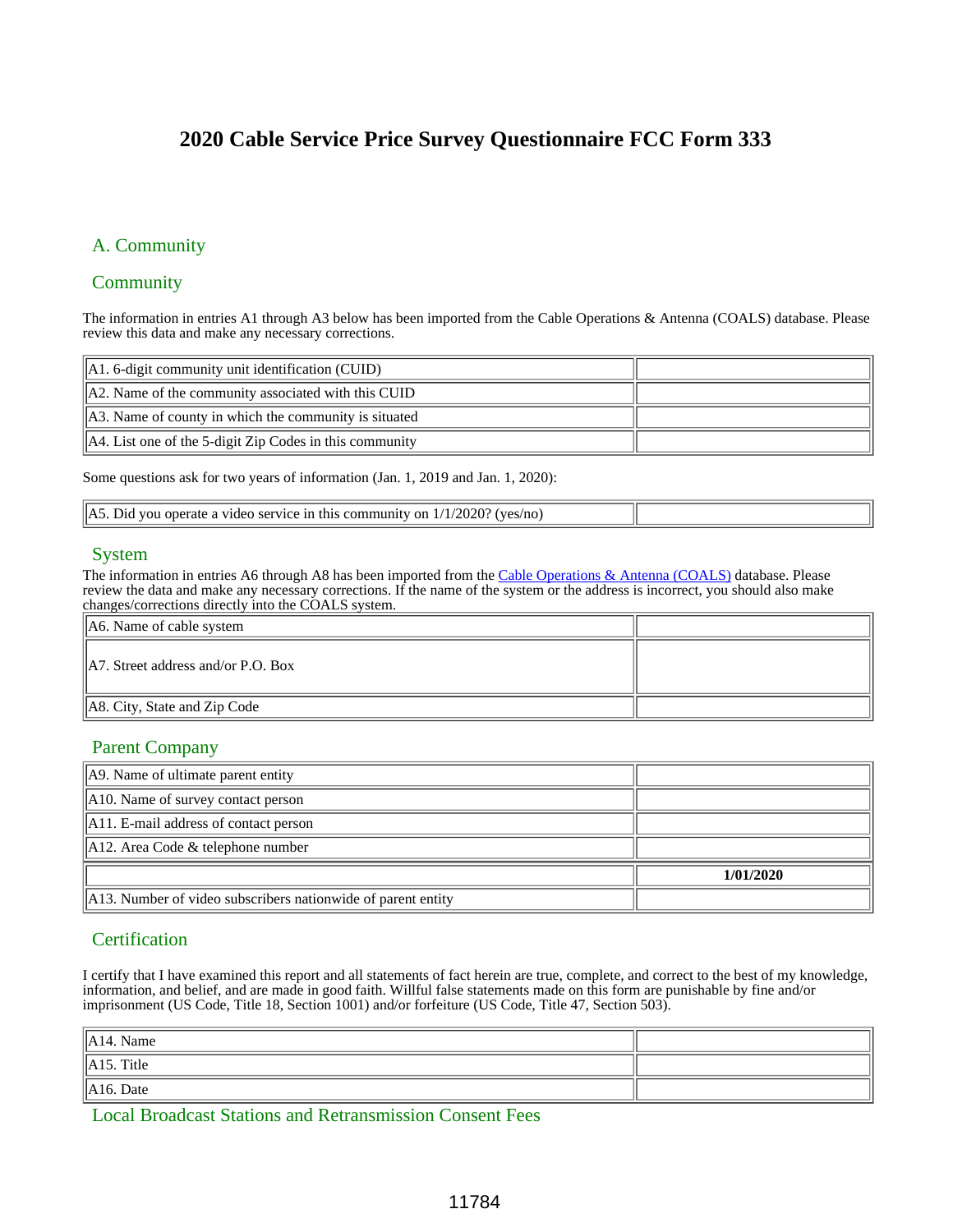# **2020 Cable Service Price Survey Questionnaire FCC Form 333**

### A. Community

### **Community**

The information in entries A1 through A3 below has been imported from the Cable Operations & Antenna (COALS) database. Please review this data and make any necessary corrections.

| $\parallel$ A1. 6-digit community unit identification (CUID)        |  |
|---------------------------------------------------------------------|--|
| $\parallel$ A2. Name of the community associated with this CUID     |  |
| $\parallel$ A3. Name of county in which the community is situated   |  |
| $\parallel$ A4. List one of the 5-digit Zip Codes in this community |  |

Some questions ask for two years of information (Jan. 1, 2019 and Jan. 1, 2020):

| IA5.<br>VAC<br>Ωr<br>n <sub>0</sub><br>a video service in 1.<br><b>J10</b><br>vou operate<br>omı |  |
|--------------------------------------------------------------------------------------------------|--|

### System

The information in entries A6 through A8 has been imported from the Cable Operations & Antenna (COALS) database. Please review the data and make any necessary corrections. If the name of the system or the address is incorrect, you should also make changes/corrections directly into the COALS system.

| $\parallel$ A6. Name of cable system           |  |
|------------------------------------------------|--|
| $\parallel$ A7. Street address and/or P.O. Box |  |
| $\parallel$ A8. City, State and Zip Code       |  |

### Parent Company

| A. Name of ultimate parent entity                                        |           |
|--------------------------------------------------------------------------|-----------|
| $\parallel$ A10. Name of survey contact person                           |           |
| $\parallel$ A11. E-mail address of contact person                        |           |
| $\parallel$ A12. Area Code & telephone number                            |           |
|                                                                          | 1/01/2020 |
| $\parallel$ A13. Number of video subscribers nationwide of parent entity |           |

### **Certification**

I certify that I have examined this report and all statements of fact herein are true, complete, and correct to the best of my knowledge, information, and belief, and are made in good faith. Willful false statements made on this form are punishable by fine and/or imprisonment (US Code, Title 18, Section 1001) and/or forfeiture (US Code, Title 47, Section 503).

| $\parallel$ A14. Name  |  |
|------------------------|--|
| $\parallel$ A15. Title |  |
| $\parallel$ A16. Date  |  |

Local Broadcast Stations and Retransmission Consent Fees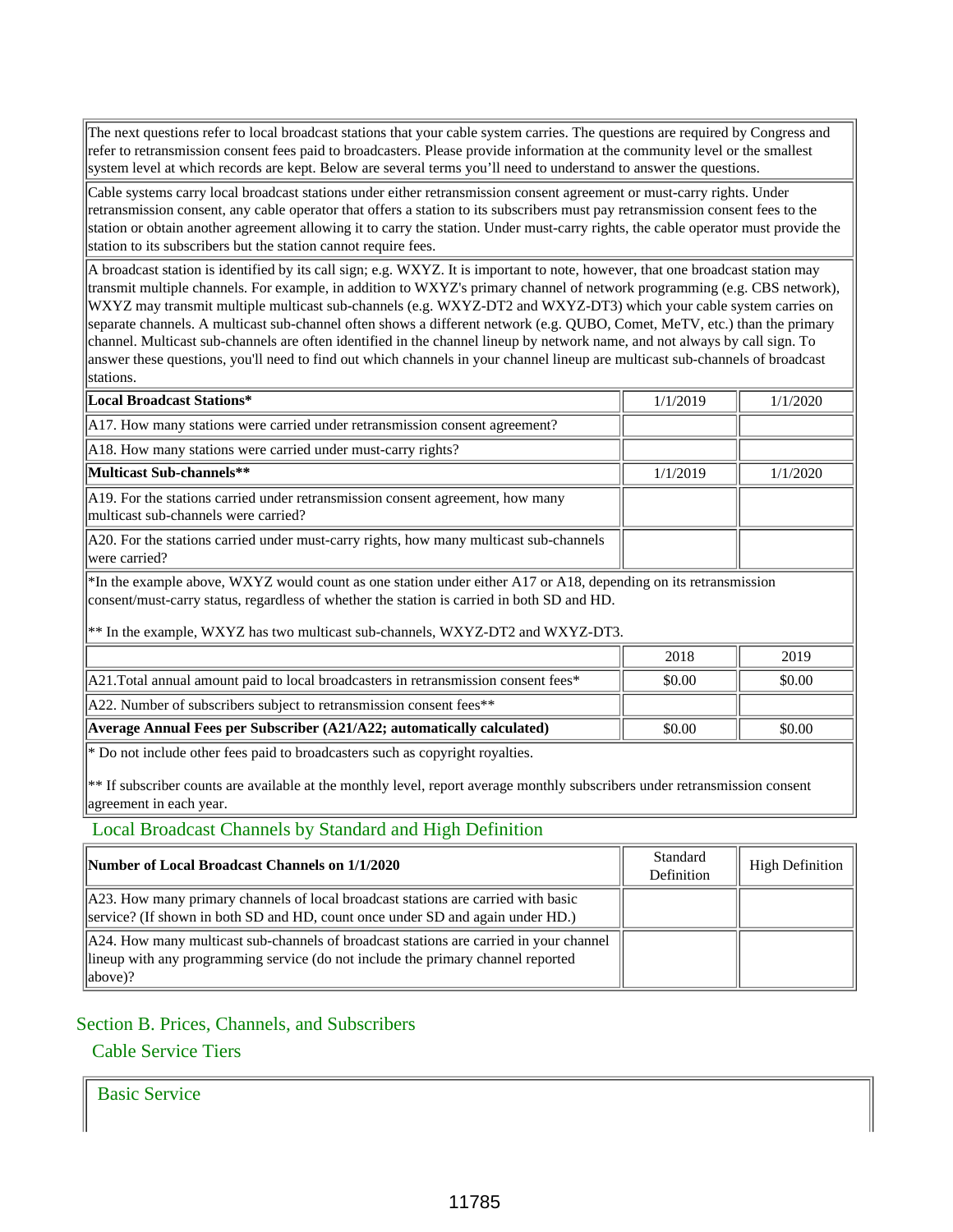The next questions refer to local broadcast stations that your cable system carries. The questions are required by Congress and refer to retransmission consent fees paid to broadcasters. Please provide information at the community level or the smallest system level at which records are kept. Below are several terms you'll need to understand to answer the questions.

Cable systems carry local broadcast stations under either retransmission consent agreement or must-carry rights. Under retransmission consent, any cable operator that offers a station to its subscribers must pay retransmission consent fees to the station or obtain another agreement allowing it to carry the station. Under must-carry rights, the cable operator must provide the station to its subscribers but the station cannot require fees.

A broadcast station is identified by its call sign; e.g. WXYZ. It is important to note, however, that one broadcast station may transmit multiple channels. For example, in addition to WXYZ's primary channel of network programming (e.g. CBS network), WXYZ may transmit multiple multicast sub-channels (e.g. WXYZ-DT2 and WXYZ-DT3) which your cable system carries on separate channels. A multicast sub-channel often shows a different network (e.g. QUBO, Comet, MeTV, etc.) than the primary channel. Multicast sub-channels are often identified in the channel lineup by network name, and not always by call sign. To answer these questions, you'll need to find out which channels in your channel lineup are multicast sub-channels of broadcast stations.

| Local Broadcast Stations*                                                                                              | 1/1/2019 | 1/1/2020 |
|------------------------------------------------------------------------------------------------------------------------|----------|----------|
| A17. How many stations were carried under retransmission consent agreement?                                            |          |          |
| A18. How many stations were carried under must-carry rights?                                                           |          |          |
| Multicast Sub-channels**                                                                                               | 1/1/2019 | 1/1/2020 |
| A19. For the stations carried under retransmission consent agreement, how many<br>multicast sub-channels were carried? |          |          |
| A20. For the stations carried under must-carry rights, how many multicast sub-channels<br>were carried?                |          |          |

\*In the example above, WXYZ would count as one station under either A17 or A18, depending on its retransmission consent/must-carry status, regardless of whether the station is carried in both SD and HD.

\*\* In the example, WXYZ has two multicast sub-channels, WXYZ-DT2 and WXYZ-DT3.

|                                                                                         | 2018   | 2019   |
|-----------------------------------------------------------------------------------------|--------|--------|
| $ A21$ . Total annual amount paid to local broadcasters in retransmission consent fees* | \$0.00 | \$0.00 |
| A22. Number of subscribers subject to retransmission consent fees**                     |        |        |
| $A$ Average Annual Fees per Subscriber (A21/A22; automatically calculated)              | \$0.00 | \$0.00 |
|                                                                                         |        |        |

\* Do not include other fees paid to broadcasters such as copyright royalties.

\*\* If subscriber counts are available at the monthly level, report average monthly subscribers under retransmission consent agreement in each year.

Local Broadcast Channels by Standard and High Definition

| <b>Number of Local Broadcast Channels on 1/1/2020</b>                                                                                                                                                       | Standard<br>Definition | <b>High Definition</b> |
|-------------------------------------------------------------------------------------------------------------------------------------------------------------------------------------------------------------|------------------------|------------------------|
| $\parallel$ A23. How many primary channels of local broadcast stations are carried with basic<br>service? (If shown in both SD and HD, count once under SD and again under HD.)                             |                        |                        |
| $\parallel$ A24. How many multicast sub-channels of broadcast stations are carried in your channel<br>llineup with any programming service (do not include the primary channel reported<br>$\ $ above $)$ ? |                        |                        |

### Section B. Prices, Channels, and Subscribers

#### Cable Service Tiers

Basic Service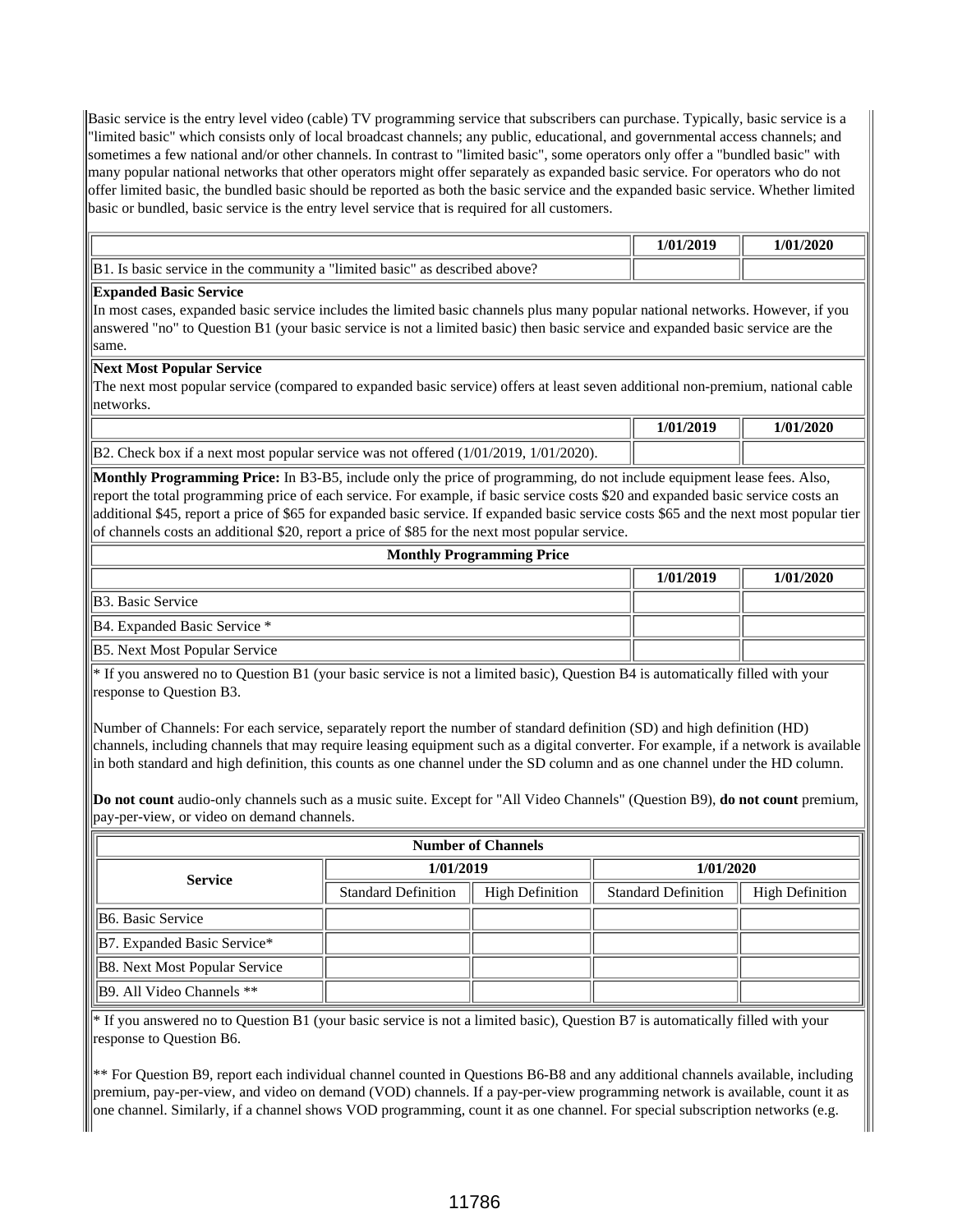Basic service is the entry level video (cable) TV programming service that subscribers can purchase. Typically, basic service is a "limited basic" which consists only of local broadcast channels; any public, educational, and governmental access channels; and sometimes a few national and/or other channels. In contrast to "limited basic", some operators only offer a "bundled basic" with many popular national networks that other operators might offer separately as expanded basic service. For operators who do not offer limited basic, the bundled basic should be reported as both the basic service and the expanded basic service. Whether limited basic or bundled, basic service is the entry level service that is required for all customers.

|                                                                                                         | 1/2019<br>$\mathbf{a}$<br>70 L | /2020<br>m |
|---------------------------------------------------------------------------------------------------------|--------------------------------|------------|
| IR 1<br>"limited<br>c service in the community a<br>above:<br>descr<br>1 basic`<br>1bec<br>as<br>basic. |                                |            |

#### **Expanded Basic Service**

In most cases, expanded basic service includes the limited basic channels plus many popular national networks. However, if you answered "no" to Question B1 (your basic service is not a limited basic) then basic service and expanded basic service are the same.

#### **Next Most Popular Service**

The next most popular service (compared to expanded basic service) offers at least seven additional non-premium, national cable networks.

|                                                                                              | 1/01/2019 | 1/01/2020 |
|----------------------------------------------------------------------------------------------|-----------|-----------|
| $\vert$ B2. Check box if a next most popular service was not offered (1/01/2019, 1/01/2020). |           |           |

**Monthly Programming Price:** In B3-B5, include only the price of programming, do not include equipment lease fees. Also, report the total programming price of each service. For example, if basic service costs \$20 and expanded basic service costs an additional \$45, report a price of \$65 for expanded basic service. If expanded basic service costs \$65 and the next most popular tier of channels costs an additional \$20, report a price of \$85 for the next most popular service.

| <b>Monthly Programming Price</b>     |           |           |
|--------------------------------------|-----------|-----------|
|                                      | 1/01/2019 | 1/01/2020 |
| IB3. Basic Service                   |           |           |
| B4. Expanded Basic Service *         |           |           |
| <b>B5.</b> Next Most Popular Service |           |           |

\* If you answered no to Question B1 (your basic service is not a limited basic), Question B4 is automatically filled with your response to Question B3.

Number of Channels: For each service, separately report the number of standard definition (SD) and high definition (HD) channels, including channels that may require leasing equipment such as a digital converter. For example, if a network is available in both standard and high definition, this counts as one channel under the SD column and as one channel under the HD column.

**Do not count** audio-only channels such as a music suite. Except for "All Video Channels" (Question B9), **do not count** premium, pay-per-view, or video on demand channels.

| <b>Number of Channels</b>     |                            |                        |                            |                        |
|-------------------------------|----------------------------|------------------------|----------------------------|------------------------|
| <b>Service</b>                | 1/01/2019                  |                        | 1/01/2020                  |                        |
|                               | <b>Standard Definition</b> | <b>High Definition</b> | <b>Standard Definition</b> | <b>High Definition</b> |
| IB6. Basic Service            |                            |                        |                            |                        |
| B7. Expanded Basic Service*   |                            |                        |                            |                        |
| B8. Next Most Popular Service |                            |                        |                            |                        |
| B9. All Video Channels **     |                            |                        |                            |                        |

\* If you answered no to Question B1 (your basic service is not a limited basic), Question B7 is automatically filled with your response to Question B6.

\*\* For Question B9, report each individual channel counted in Questions B6-B8 and any additional channels available, including premium, pay-per-view, and video on demand (VOD) channels. If a pay-per-view programming network is available, count it as one channel. Similarly, if a channel shows VOD programming, count it as one channel. For special subscription networks (e.g.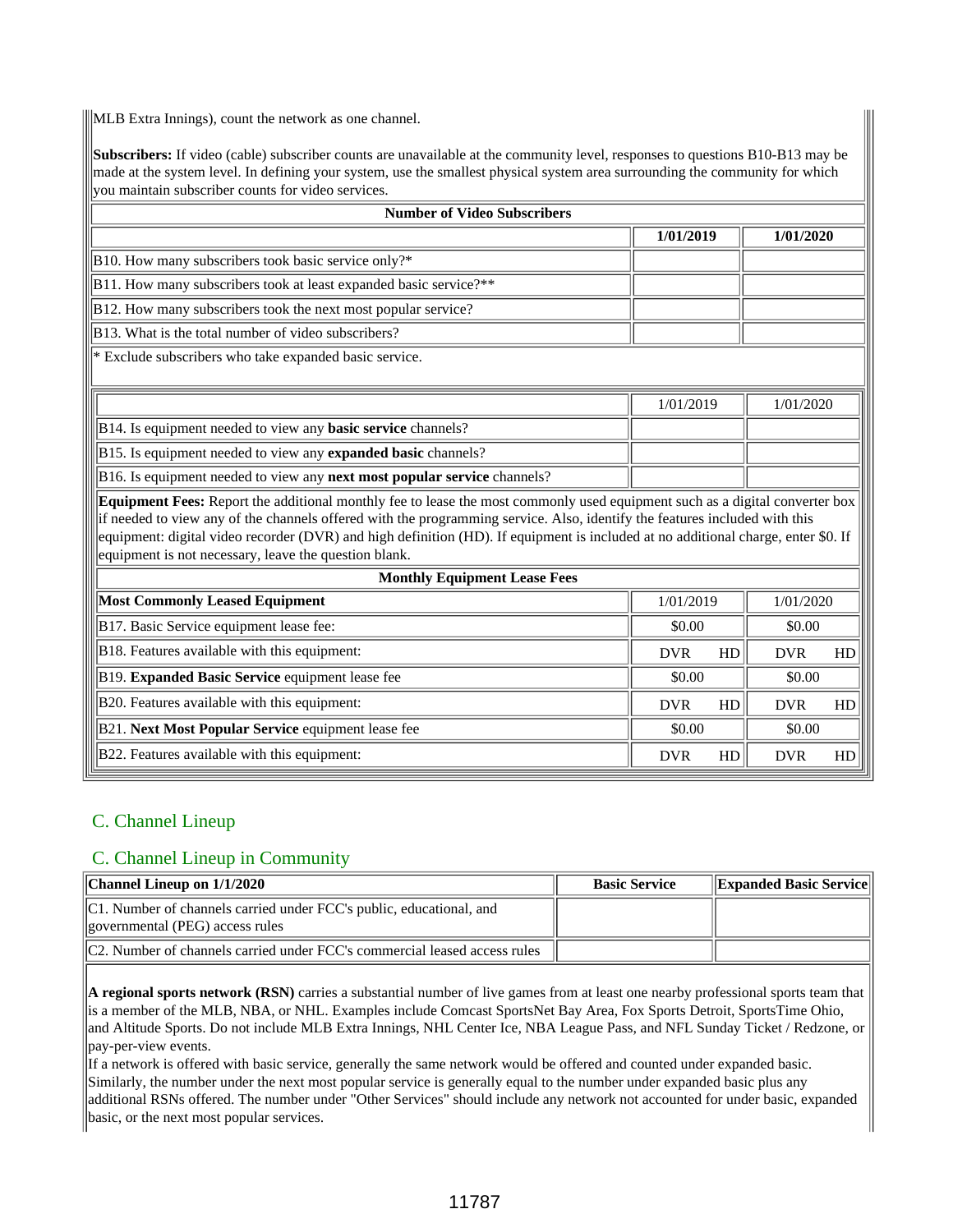MLB Extra Innings), count the network as one channel.

**Subscribers:** If video (cable) subscriber counts are unavailable at the community level, responses to questions B10-B13 may be made at the system level. In defining your system, use the smallest physical system area surrounding the community for which you maintain subscriber counts for video services.

| <b>Number of Video Subscribers</b>                                                                                                                                                                                                                                                                                                                                                                                                                      |            |    |            |    |  |  |  |  |
|---------------------------------------------------------------------------------------------------------------------------------------------------------------------------------------------------------------------------------------------------------------------------------------------------------------------------------------------------------------------------------------------------------------------------------------------------------|------------|----|------------|----|--|--|--|--|
|                                                                                                                                                                                                                                                                                                                                                                                                                                                         | 1/01/2019  |    | 1/01/2020  |    |  |  |  |  |
| B10. How many subscribers took basic service only?*                                                                                                                                                                                                                                                                                                                                                                                                     |            |    |            |    |  |  |  |  |
| B11. How many subscribers took at least expanded basic service?**                                                                                                                                                                                                                                                                                                                                                                                       |            |    |            |    |  |  |  |  |
| B12. How many subscribers took the next most popular service?                                                                                                                                                                                                                                                                                                                                                                                           |            |    |            |    |  |  |  |  |
| B13. What is the total number of video subscribers?                                                                                                                                                                                                                                                                                                                                                                                                     |            |    |            |    |  |  |  |  |
| * Exclude subscribers who take expanded basic service.                                                                                                                                                                                                                                                                                                                                                                                                  |            |    |            |    |  |  |  |  |
|                                                                                                                                                                                                                                                                                                                                                                                                                                                         | 1/01/2019  |    | 1/01/2020  |    |  |  |  |  |
| B14. Is equipment needed to view any basic service channels?                                                                                                                                                                                                                                                                                                                                                                                            |            |    |            |    |  |  |  |  |
| B15. Is equipment needed to view any expanded basic channels?                                                                                                                                                                                                                                                                                                                                                                                           |            |    |            |    |  |  |  |  |
| B16. Is equipment needed to view any next most popular service channels?                                                                                                                                                                                                                                                                                                                                                                                |            |    |            |    |  |  |  |  |
| Equipment Fees: Report the additional monthly fee to lease the most commonly used equipment such as a digital converter box<br>if needed to view any of the channels offered with the programming service. Also, identify the features included with this<br>equipment: digital video recorder (DVR) and high definition (HD). If equipment is included at no additional charge, enter \$0. If<br>equipment is not necessary, leave the question blank. |            |    |            |    |  |  |  |  |
| <b>Monthly Equipment Lease Fees</b>                                                                                                                                                                                                                                                                                                                                                                                                                     |            |    |            |    |  |  |  |  |
| <b>Most Commonly Leased Equipment</b>                                                                                                                                                                                                                                                                                                                                                                                                                   | 1/01/2019  |    | 1/01/2020  |    |  |  |  |  |
| B17. Basic Service equipment lease fee:                                                                                                                                                                                                                                                                                                                                                                                                                 | \$0.00     |    | \$0.00     |    |  |  |  |  |
| B18. Features available with this equipment:                                                                                                                                                                                                                                                                                                                                                                                                            | <b>DVR</b> | HD | <b>DVR</b> | HD |  |  |  |  |
| B19. Expanded Basic Service equipment lease fee                                                                                                                                                                                                                                                                                                                                                                                                         | \$0.00     |    | \$0.00     |    |  |  |  |  |
| B20. Features available with this equipment:                                                                                                                                                                                                                                                                                                                                                                                                            | <b>DVR</b> | HD | <b>DVR</b> | HD |  |  |  |  |
| B21. Next Most Popular Service equipment lease fee                                                                                                                                                                                                                                                                                                                                                                                                      | \$0.00     |    | \$0.00     |    |  |  |  |  |
| B22. Features available with this equipment:                                                                                                                                                                                                                                                                                                                                                                                                            | <b>DVR</b> | HD | <b>DVR</b> | HD |  |  |  |  |

## C. Channel Lineup

### C. Channel Lineup in Community

| $\vert$ Channel Lineup on $1/1/2020$                                                                     | <b>Basic Service</b> | <b>Expanded Basic Service</b> |
|----------------------------------------------------------------------------------------------------------|----------------------|-------------------------------|
| C1. Number of channels carried under FCC's public, educational, and<br>  governmental (PEG) access rules |                      |                               |
| C2. Number of channels carried under FCC's commercial leased access rules                                |                      |                               |

**A regional sports network (RSN)** carries a substantial number of live games from at least one nearby professional sports team that is a member of the MLB, NBA, or NHL. Examples include Comcast SportsNet Bay Area, Fox Sports Detroit, SportsTime Ohio, and Altitude Sports. Do not include MLB Extra Innings, NHL Center Ice, NBA League Pass, and NFL Sunday Ticket / Redzone, or pay-per-view events.

If a network is offered with basic service, generally the same network would be offered and counted under expanded basic. Similarly, the number under the next most popular service is generally equal to the number under expanded basic plus any additional RSNs offered. The number under "Other Services" should include any network not accounted for under basic, expanded basic, or the next most popular services.